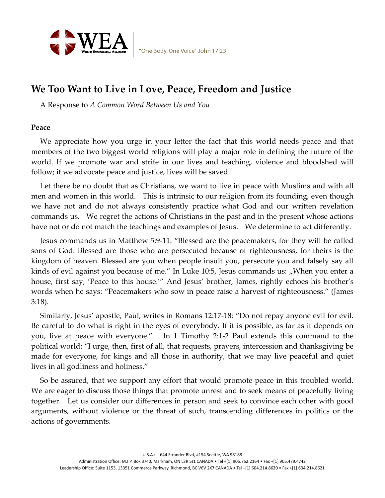

# We Too Want to Live in Love, Peace, Freedom and Justice

A Response to A Common Word Between Us and You

# Peace

We appreciate how you urge in your letter the fact that this world needs peace and that members of the two biggest world religions will play a major role in defining the future of the world. If we promote war and strife in our lives and teaching, violence and bloodshed will follow; if we advocate peace and justice, lives will be saved.

Let there be no doubt that as Christians, we want to live in peace with Muslims and with all men and women in this world. This is intrinsic to our religion from its founding, even though we have not and do not always consistently practice what God and our written revelation commands us. We regret the actions of Christians in the past and in the present whose actions have not or do not match the teachings and examples of Jesus. We determine to act differently.

Jesus commands us in Matthew 5:9-11: "Blessed are the peacemakers, for they will be called sons of God. Blessed are those who are persecuted because of righteousness, for theirs is the kingdom of heaven. Blessed are you when people insult you, persecute you and falsely say all kinds of evil against you because of me." In Luke 10:5, Jesus commands us: "When you enter a house, first say, 'Peace to this house.'" And Jesus' brother, James, rightly echoes his brother's words when he says: "Peacemakers who sow in peace raise a harvest of righteousness." (James 3:18).

Similarly, Jesus' apostle, Paul, writes in Romans 12:17-18: "Do not repay anyone evil for evil. Be careful to do what is right in the eyes of everybody. If it is possible, as far as it depends on you, live at peace with everyone." In 1 Timothy 2:1-2 Paul extends this command to the political world: "I urge, then, first of all, that requests, prayers, intercession and thanksgiving be made for everyone, for kings and all those in authority, that we may live peaceful and quiet lives in all godliness and holiness."

So be assured, that we support any effort that would promote peace in this troubled world. We are eager to discuss those things that promote unrest and to seek means of peacefully living together. Let us consider our differences in person and seek to convince each other with good arguments, without violence or the threat of such, transcending differences in politics or the actions of governments.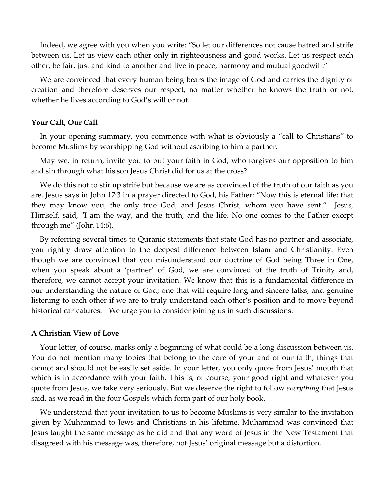Indeed, we agree with you when you write: "So let our differences not cause hatred and strife between us. Let us view each other only in righteousness and good works. Let us respect each other, be fair, just and kind to another and live in peace, harmony and mutual goodwill."

We are convinced that every human being bears the image of God and carries the dignity of creation and therefore deserves our respect, no matter whether he knows the truth or not, whether he lives according to God's will or not.

## Your Call, Our Call

In your opening summary, you commence with what is obviously a "call to Christians" to become Muslims by worshipping God without ascribing to him a partner.

May we, in return, invite you to put your faith in God, who forgives our opposition to him and sin through what his son Jesus Christ did for us at the cross?

We do this not to stir up strife but because we are as convinced of the truth of our faith as you are. Jesus says in John 17:3 in a prayer directed to God, his Father: "Now this is eternal life: that they may know you, the only true God, and Jesus Christ, whom you have sent." Jesus, Himself, said, "I am the way, and the truth, and the life. No one comes to the Father except through me" (John 14:6).

By referring several times to Quranic statements that state God has no partner and associate, you rightly draw attention to the deepest difference between Islam and Christianity. Even though we are convinced that you misunderstand our doctrine of God being Three in One, when you speak about a 'partner' of God, we are convinced of the truth of Trinity and, therefore, we cannot accept your invitation. We know that this is a fundamental difference in our understanding the nature of God; one that will require long and sincere talks, and genuine listening to each other if we are to truly understand each other's position and to move beyond historical caricatures. We urge you to consider joining us in such discussions.

#### A Christian View of Love

Your letter, of course, marks only a beginning of what could be a long discussion between us. You do not mention many topics that belong to the core of your and of our faith; things that cannot and should not be easily set aside. In your letter, you only quote from Jesus' mouth that which is in accordance with your faith. This is, of course, your good right and whatever you quote from Jesus, we take very seriously. But we deserve the right to follow *everything* that Jesus said, as we read in the four Gospels which form part of our holy book.

We understand that your invitation to us to become Muslims is very similar to the invitation given by Muhammad to Jews and Christians in his lifetime. Muhammad was convinced that Jesus taught the same message as he did and that any word of Jesus in the New Testament that disagreed with his message was, therefore, not Jesus' original message but a distortion.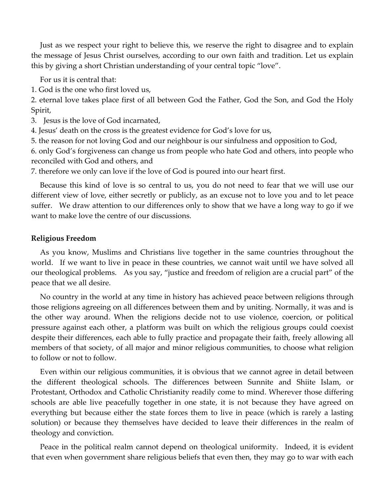Just as we respect your right to believe this, we reserve the right to disagree and to explain the message of Jesus Christ ourselves, according to our own faith and tradition. Let us explain this by giving a short Christian understanding of your central topic "love".

For us it is central that:

1. God is the one who first loved us,

2. eternal love takes place first of all between God the Father, God the Son, and God the Holy Spirit,

3. Jesus is the love of God incarnated,

4. Jesus' death on the cross is the greatest evidence for God's love for us,

5. the reason for not loving God and our neighbour is our sinfulness and opposition to God,

6. only God's forgiveness can change us from people who hate God and others, into people who reconciled with God and others, and

7. therefore we only can love if the love of God is poured into our heart first.

Because this kind of love is so central to us, you do not need to fear that we will use our different view of love, either secretly or publicly, as an excuse not to love you and to let peace suffer. We draw attention to our differences only to show that we have a long way to go if we want to make love the centre of our discussions.

# Religious Freedom

As you know, Muslims and Christians live together in the same countries throughout the world. If we want to live in peace in these countries, we cannot wait until we have solved all our theological problems. As you say, "justice and freedom of religion are a crucial part" of the peace that we all desire.

No country in the world at any time in history has achieved peace between religions through those religions agreeing on all differences between them and by uniting. Normally, it was and is the other way around. When the religions decide not to use violence, coercion, or political pressure against each other, a platform was built on which the religious groups could coexist despite their differences, each able to fully practice and propagate their faith, freely allowing all members of that society, of all major and minor religious communities, to choose what religion to follow or not to follow.

Even within our religious communities, it is obvious that we cannot agree in detail between the different theological schools. The differences between Sunnite and Shiite Islam, or Protestant, Orthodox and Catholic Christianity readily come to mind. Wherever those differing schools are able live peacefully together in one state, it is not because they have agreed on everything but because either the state forces them to live in peace (which is rarely a lasting solution) or because they themselves have decided to leave their differences in the realm of theology and conviction.

Peace in the political realm cannot depend on theological uniformity. Indeed, it is evident that even when government share religious beliefs that even then, they may go to war with each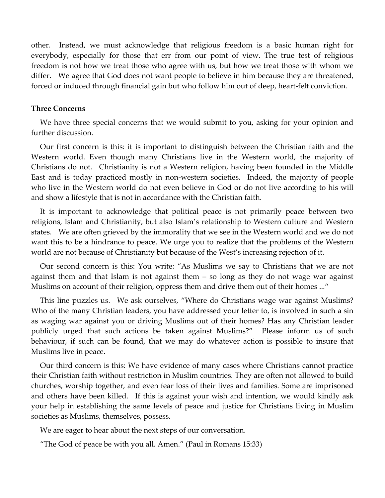other. Instead, we must acknowledge that religious freedom is a basic human right for everybody, especially for those that err from our point of view. The true test of religious freedom is not how we treat those who agree with us, but how we treat those with whom we differ. We agree that God does not want people to believe in him because they are threatened, forced or induced through financial gain but who follow him out of deep, heart-felt conviction.

### Three Concerns

We have three special concerns that we would submit to you, asking for your opinion and further discussion.

Our first concern is this: it is important to distinguish between the Christian faith and the Western world. Even though many Christians live in the Western world, the majority of Christians do not. Christianity is not a Western religion, having been founded in the Middle East and is today practiced mostly in non-western societies. Indeed, the majority of people who live in the Western world do not even believe in God or do not live according to his will and show a lifestyle that is not in accordance with the Christian faith.

It is important to acknowledge that political peace is not primarily peace between two religions, Islam and Christianity, but also Islam's relationship to Western culture and Western states. We are often grieved by the immorality that we see in the Western world and we do not want this to be a hindrance to peace. We urge you to realize that the problems of the Western world are not because of Christianity but because of the West's increasing rejection of it.

Our second concern is this: You write: "As Muslims we say to Christians that we are not against them and that Islam is not against them – so long as they do not wage war against Muslims on account of their religion, oppress them and drive them out of their homes ..."

This line puzzles us. We ask ourselves, "Where do Christians wage war against Muslims? Who of the many Christian leaders, you have addressed your letter to, is involved in such a sin as waging war against you or driving Muslims out of their homes? Has any Christian leader publicly urged that such actions be taken against Muslims?" Please inform us of such behaviour, if such can be found, that we may do whatever action is possible to insure that Muslims live in peace.

Our third concern is this: We have evidence of many cases where Christians cannot practice their Christian faith without restriction in Muslim countries. They are often not allowed to build churches, worship together, and even fear loss of their lives and families. Some are imprisoned and others have been killed. If this is against your wish and intention, we would kindly ask your help in establishing the same levels of peace and justice for Christians living in Muslim societies as Muslims, themselves, possess.

We are eager to hear about the next steps of our conversation.

"The God of peace be with you all. Amen." (Paul in Romans 15:33)